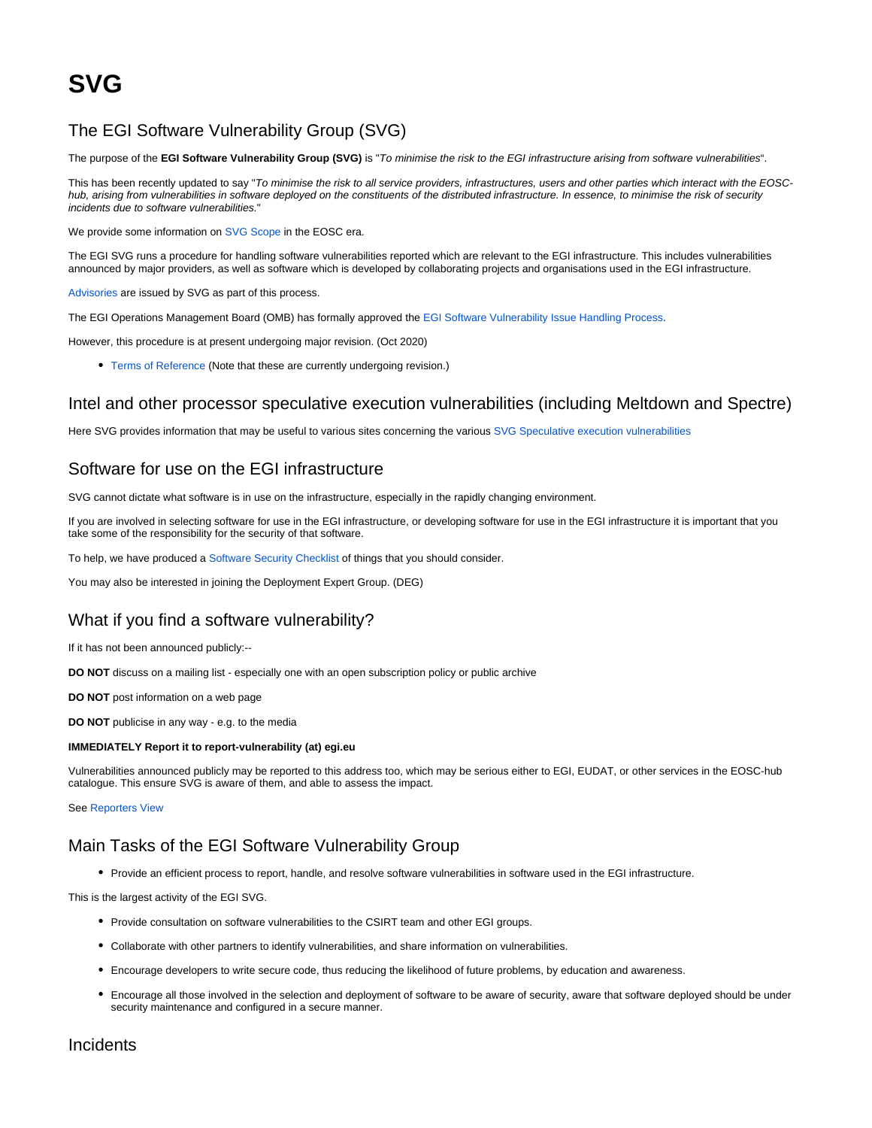## The EGI Software Vulnerability Group (SVG)

The purpose of the **EGI Software Vulnerability Group (SVG)** is "To minimise the risk to the EGI infrastructure arising from software vulnerabilities".

This has been recently updated to say "To minimise the risk to all service providers, infrastructures, users and other parties which interact with the EOSChub, arising from vulnerabilities in software deployed on the constituents of the distributed infrastructure. In essence, to minimise the risk of security incidents due to software vulnerabilities."

We provide some information on [SVG Scope](https://confluence.egi.eu/display/EGIBG/SVG+Scope) in the EOSC era.

The EGI SVG runs a procedure for handling software vulnerabilities reported which are relevant to the EGI infrastructure. This includes vulnerabilities announced by major providers, as well as software which is developed by collaborating projects and organisations used in the EGI infrastructure.

[Advisories](https://wiki.egi.eu/wiki/SVG:Advisories) are issued by SVG as part of this process.

The EGI Operations Management Board (OMB) has formally approved the [EGI Software Vulnerability Issue Handling Process.](https://documents.egi.eu/document/3145)

However, this procedure is at present undergoing major revision. (Oct 2020)

[Terms of Reference](https://documents.egi.eu/document/108) (Note that these are currently undergoing revision.)

### Intel and other processor speculative execution vulnerabilities (including Meltdown and Spectre)

Here SVG provides information that may be useful to various sites concerning the various [SVG Speculative execution vulnerabilities](https://advisories.egi.eu/Speculative_Execution_Vulnerabilities.html)

## Software for use on the EGI infrastructure

SVG cannot dictate what software is in use on the infrastructure, especially in the rapidly changing environment.

If you are involved in selecting software for use in the EGI infrastructure, or developing software for use in the EGI infrastructure it is important that you take some of the responsibility for the security of that software.

To help, we have produced a [Software Security Checklist](https://confluence.egi.eu/display/EGIBG/Software+Security+Checklist) of things that you should consider.

You may also be interested in joining the Deployment Expert Group. (DEG)

## What if you find a software vulnerability?

If it has not been announced publicly:--

**DO NOT** discuss on a mailing list - especially one with an open subscription policy or public archive

**DO NOT** post information on a web page

**DO NOT** publicise in any way - e.g. to the media

#### **IMMEDIATELY Report it to report-vulnerability (at) egi.eu**

Vulnerabilities announced publicly may be reported to this address too, which may be serious either to EGI, EUDAT, or other services in the EOSC-hub catalogue. This ensure SVG is aware of them, and able to assess the impact.

See [Reporters View](https://confluence.egi.eu/display/EGIBG/SVG+Reporters+View)

# Main Tasks of the EGI Software Vulnerability Group

Provide an efficient process to report, handle, and resolve software vulnerabilities in software used in the EGI infrastructure.

This is the largest activity of the EGI SVG.

- Provide consultation on software vulnerabilities to the CSIRT team and other EGI groups.
- Collaborate with other partners to identify vulnerabilities, and share information on vulnerabilities.
- Encourage developers to write secure code, thus reducing the likelihood of future problems, by education and awareness.
- Encourage all those involved in the selection and deployment of software to be aware of security, aware that software deployed should be under security maintenance and configured in a secure manner.

Incidents